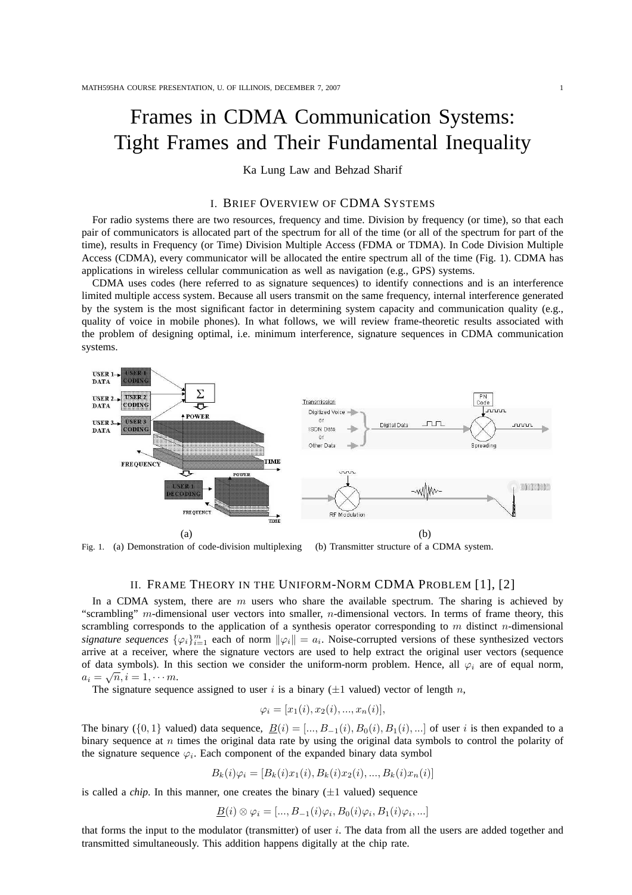# Frames in CDMA Communication Systems: Tight Frames and Their Fundamental Inequality

Ka Lung Law and Behzad Sharif

## I. BRIEF OVERVIEW OF CDMA SYSTEMS

For radio systems there are two resources, frequency and time. Division by frequency (or time), so that each pair of communicators is allocated part of the spectrum for all of the time (or all of the spectrum for part of the time), results in Frequency (or Time) Division Multiple Access (FDMA or TDMA). In Code Division Multiple Access (CDMA), every communicator will be allocated the entire spectrum all of the time (Fig. 1). CDMA has applications in wireless cellular communication as well as navigation (e.g., GPS) systems.

CDMA uses codes (here referred to as signature sequences) to identify connections and is an interference limited multiple access system. Because all users transmit on the same frequency, internal interference generated by the system is the most significant factor in determining system capacity and communication quality (e.g., quality of voice in mobile phones). In what follows, we will review frame-theoretic results associated with the problem of designing optimal, i.e. minimum interference, signature sequences in CDMA communication systems.



Fig. 1. (a) Demonstration of code-division multiplexing (b) Transmitter structure of a CDMA system.

### II. FRAME THEORY IN THE UNIFORM-NORM CDMA PROBLEM [1], [2]

In a CDMA system, there are  $m$  users who share the available spectrum. The sharing is achieved by "scrambling" m-dimensional user vectors into smaller, n-dimensional vectors. In terms of frame theory, this scrambling corresponds to the application of a synthesis operator corresponding to m distinct n-dimensional signature sequences  $\{\varphi_i\}_{i=1}^m$  each of norm  $\|\varphi_i\|=a_i$ . Noise-corrupted versions of these synthesized vectors arrive at a receiver, where the signature vectors are used to help extract the original user vectors (sequence of data symbols). In this section we consider the uniform-norm problem. Hence, all  $\varphi_i$  are of equal norm,  $a_i = \sqrt{n}, i = 1, \cdots m.$ 

The signature sequence assigned to user i is a binary  $(\pm 1$  valued) vector of length n,

$$
\varphi_i = [x_1(i), x_2(i), ..., x_n(i)],
$$

The binary ({0, 1} valued) data sequence,  $B(i) = [..., B_{-1}(i), B_0(i), B_1(i),...]$  of user i is then expanded to a binary sequence at n times the original data rate by using the original data symbols to control the polarity of the signature sequence  $\varphi_i$ . Each component of the expanded binary data symbol

$$
B_k(i)\varphi_i = [B_k(i)x_1(i), B_k(i)x_2(i), ..., B_k(i)x_n(i)]
$$

is called a *chip*. In this manner, one creates the binary  $(\pm 1$  valued) sequence

 $\underline{B}(i) \otimes \varphi_i = [..., B_{-1}(i)\varphi_i, B_0(i)\varphi_i, B_1(i)\varphi_i, ...]$ 

that forms the input to the modulator (transmitter) of user  $i$ . The data from all the users are added together and transmitted simultaneously. This addition happens digitally at the chip rate.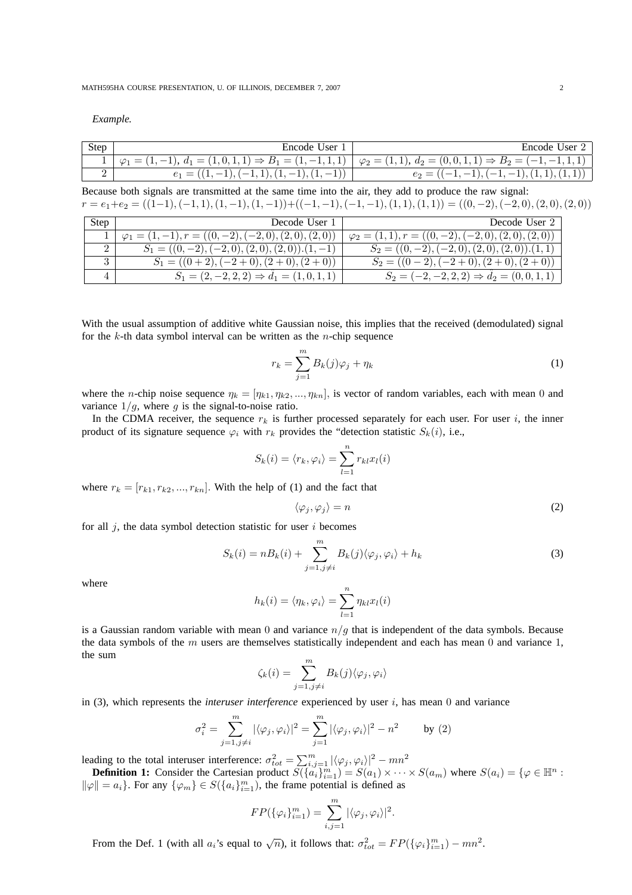*Example.*

| Step | User<br>Encode                                                              | Encode<br>: User                                                              |
|------|-----------------------------------------------------------------------------|-------------------------------------------------------------------------------|
| ᅩ    | $A_1 = (1, 0, 1, 1) \Rightarrow B_1 = (1, -1, 1, 1)$<br>$=$<br>$\varphi_1$  | $\downarrow \varphi_2 = (1,1), d_2 = (0,0,1,1) \Rightarrow B_2 = (-1,-1,1,1)$ |
| -    | $\overline{\phantom{0}}$<br>$\overline{\phantom{a}}$<br>$e_1 =$<br><b>.</b> | (1,1)<br>$e_2 =$<br>$\qquad \qquad \overline{\qquad \qquad }$                 |

Because both signals are transmitted at the same time into the air, they add to produce the raw signal:  $r = e_1 + e_2 = ((1-1), (-1, 1), (1, -1), (1, -1)) + ((-1, -1), (-1, -1), (1, 1), (1, 1)) = ((0, -2), (-2, 0), (2, 0), (2, 0))$ 

| <b>Step</b> | Decode User 1                                                 | Decode User 2                                                |
|-------------|---------------------------------------------------------------|--------------------------------------------------------------|
|             | $\varphi_1 = (1, -1), r = ((0, -2), (-2, 0), (2, 0), (2, 0))$ | $\varphi_2 = (1, 1), r = ((0, -2), (-2, 0), (2, 0), (2, 0))$ |
|             | $S_1 = ((0,-2), (-2,0), (2,0), (2,0))$ . $(1,-1)$             | $S_2 = ((0,-2), (-2,0), (2,0), (2,0))$ . $(1,1)$             |
|             | $S_1 = ((0 + 2), (-2 + 0), (2 + 0), (2 + 0))$                 | $S_2 = ((0-2), (-2+0), (2+0), (2+0))$                        |
|             | $S_1 = (2, -2, 2, 2) \Rightarrow d_1 = (1, 0, 1, 1)$          | $S_2 = (-2, -2, 2, 2) \Rightarrow d_2 = (0, 0, 1, 1)$        |

With the usual assumption of additive white Gaussian noise, this implies that the received (demodulated) signal for the  $k$ -th data symbol interval can be written as the *n*-chip sequence

$$
r_k = \sum_{j=1}^{m} B_k(j)\varphi_j + \eta_k \tag{1}
$$

where the *n*-chip noise sequence  $\eta_k = [\eta_{k1}, \eta_{k2}, ..., \eta_{kn}]$ , is vector of random variables, each with mean 0 and variance  $1/g$ , where g is the signal-to-noise ratio.

In the CDMA receiver, the sequence  $r_k$  is further processed separately for each user. For user i, the inner product of its signature sequence  $\varphi_i$  with  $r_k$  provides the "detection statistic  $S_k(i)$ , i.e.,

$$
S_k(i) = \langle r_k, \varphi_i \rangle = \sum_{l=1}^n r_{kl} x_l(i)
$$

where  $r_k = [r_{k1}, r_{k2}, ..., r_{kn}]$ . With the help of (1) and the fact that

$$
\langle \varphi_j, \varphi_j \rangle = n \tag{2}
$$

for all  $j$ , the data symbol detection statistic for user  $i$  becomes

$$
S_k(i) = nB_k(i) + \sum_{j=1, j \neq i}^{m} B_k(j) \langle \varphi_j, \varphi_i \rangle + h_k \tag{3}
$$

where

$$
h_k(i) = \langle \eta_k, \varphi_i \rangle = \sum_{l=1}^n \eta_{kl} x_l(i)
$$

is a Gaussian random variable with mean 0 and variance  $n/q$  that is independent of the data symbols. Because the data symbols of the  $m$  users are themselves statistically independent and each has mean  $0$  and variance  $1$ , the sum

$$
\zeta_k(i) = \sum_{j=1, j \neq i}^m B_k(j) \langle \varphi_j, \varphi_i \rangle
$$

in  $(3)$ , which represents the *interuser interference* experienced by user  $i$ , has mean  $0$  and variance

$$
\sigma_i^2 = \sum_{j=1, j \neq i}^m |\langle \varphi_j, \varphi_i \rangle|^2 = \sum_{j=1}^m |\langle \varphi_j, \varphi_i \rangle|^2 - n^2 \quad \text{by (2)}
$$

leading to the total interuser interference:  $\sigma_{tot}^2 = \sum_{i,j=1}^m |\langle \varphi_j, \varphi_i \rangle|^2 - mn^2$ 

**Definition 1:** Consider the Cartesian product  $S(\{a_i\}_{i=1}^m) = S(a_1) \times \cdots \times S(a_m)$  where  $S(a_i) = \{\varphi \in \mathbb{H}^n :$  $\|\varphi\| = a_i$ . For any  $\{\varphi_m\} \in S(\{a_i\}_{i=1}^m)$ , the frame potential is defined as

$$
FP(\{\varphi_i\}_{i=1}^m) = \sum_{i,j=1}^m |\langle \varphi_j, \varphi_i \rangle|^2.
$$

From the Def. 1 (with all  $a_i$ 's equal to  $\sqrt{n}$ ), it follows that:  $\sigma_{tot}^2 = FP(\{\varphi_i\}_{i=1}^m) - mn^2$ .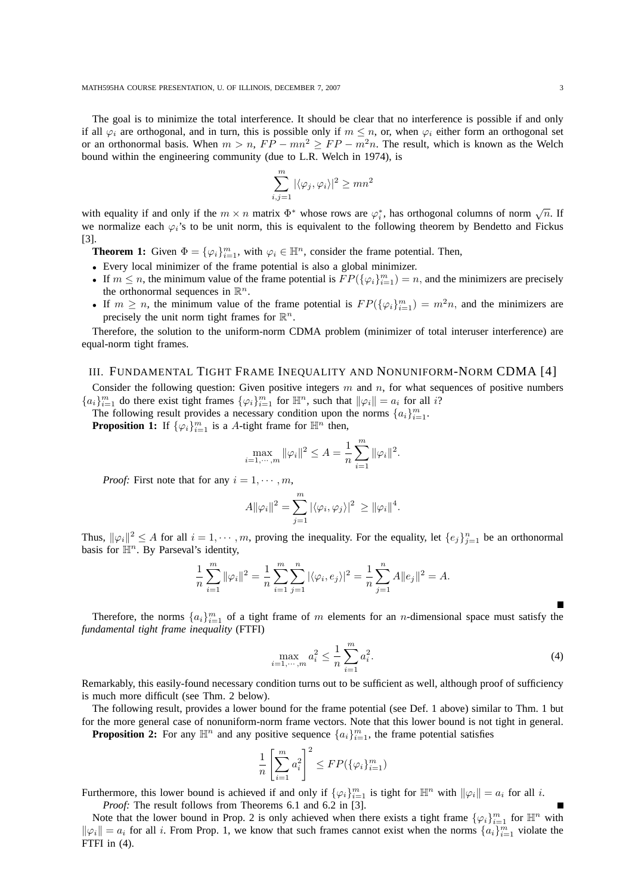The goal is to minimize the total interference. It should be clear that no interference is possible if and only if all  $\varphi_i$  are orthogonal, and in turn, this is possible only if  $m \leq n$ , or, when  $\varphi_i$  either form an orthogonal set or an orthonormal basis. When  $m > n$ ,  $FP - mn^2 \ge FP - m^2n$ . The result, which is known as the Welch bound within the engineering community (due to L.R. Welch in 1974), is

$$
\sum_{i,j=1}^{m} |\langle \varphi_j, \varphi_i \rangle|^2 \ge mn^2
$$

with equality if and only if the  $m \times n$  matrix  $\Phi^*$  whose rows are  $\varphi_i^*$ , has orthogonal columns of norm  $\sqrt{n}$ . If we normalize each  $\varphi_i$ 's to be unit norm, this is equivalent to the following theorem by Bendetto and Fickus [3].

**Theorem 1:** Given  $\Phi = {\varphi_i}_{i=1}^m$ , with  $\varphi_i \in \mathbb{H}^n$ , consider the frame potential. Then,

- Every local minimizer of the frame potential is also a global minimizer.
- If  $m \leq n$ , the minimum value of the frame potential is  $FP(\{\varphi_i\}_{i=1}^m) = n$ , and the minimizers are precisely the orthonormal sequences in  $\mathbb{R}^n$ .
- If  $m \ge n$ , the minimum value of the frame potential is  $FP(\{\varphi_i\}_{i=1}^m) = m^2n$ , and the minimizers are precisely the unit norm tight frames for  $\mathbb{R}^n$ .

Therefore, the solution to the uniform-norm CDMA problem (minimizer of total interuser interference) are equal-norm tight frames.

#### III. FUNDAMENTAL TIGHT FRAME INEQUALITY AND NONUNIFORM-NORM CDMA [4]

Consider the following question: Given positive integers  $m$  and  $n$ , for what sequences of positive numbers  ${a_i}_{i=1}^m$  do there exist tight frames  ${\varphi_i}_{i=1}^m$  for  $\mathbb{H}^n$ , such that  $\|\varphi_i\| = a_i$  for all i?

The following result provides a necessary condition upon the norms  $\{a_i\}_{i=1}^m$ .

**Proposition 1:** If  $\{\varphi_i\}_{i=1}^m$  is a A-tight frame for  $\mathbb{H}^n$  then,

$$
\max_{i=1,\cdots,m} \|\varphi_i\|^2 \le A = \frac{1}{n} \sum_{i=1}^m \|\varphi_i\|^2.
$$

*Proof:* First note that for any  $i = 1, \dots, m$ ,

$$
A\|\varphi_i\|^2 = \sum_{j=1}^m |\langle \varphi_i, \varphi_j \rangle|^2 \geq \|\varphi_i\|^4.
$$

Thus,  $\|\varphi_i\|^2 \le A$  for all  $i = 1, \dots, m$ , proving the inequality. For the equality, let  $\{e_j\}_{j=1}^n$  be an orthonormal basis for  $\mathbb{H}^n$ . By Parseval's identity,

$$
\frac{1}{n}\sum_{i=1}^{m} \|\varphi_i\|^2 = \frac{1}{n}\sum_{i=1}^{m}\sum_{j=1}^{n} |\langle \varphi_i, e_j \rangle|^2 = \frac{1}{n}\sum_{j=1}^{n} A \|e_j\|^2 = A.
$$

Therefore, the norms  $\{a_i\}_{i=1}^m$  of a tight frame of m elements for an n-dimensional space must satisfy the *fundamental tight frame inequality* (FTFI)

$$
\max_{i=1,\cdots,m} a_i^2 \le \frac{1}{n} \sum_{i=1}^m a_i^2.
$$
 (4)

Remarkably, this easily-found necessary condition turns out to be sufficient as well, although proof of sufficiency is much more difficult (see Thm. 2 below).

The following result, provides a lower bound for the frame potential (see Def. 1 above) similar to Thm. 1 but for the more general case of nonuniform-norm frame vectors. Note that this lower bound is not tight in general.

**Proposition 2:** For any  $\mathbb{H}^n$  and any positive sequence  $\{a_i\}_{i=1}^m$ , the frame potential satisfies

$$
\frac{1}{n} \left[ \sum_{i=1}^m a_i^2 \right]^2 \le FP(\{\varphi_i\}_{i=1}^m)
$$

Furthermore, this lower bound is achieved if and only if  $\{\varphi_i\}_{i=1}^m$  is tight for  $\mathbb{H}^n$  with  $\|\varphi_i\| = a_i$  for all i. *Proof:* The result follows from Theorems 6.1 and 6.2 in [3].

Note that the lower bound in Prop. 2 is only achieved when there exists a tight frame  $\{\varphi_i\}_{i=1}^m$  for  $\mathbb{H}^n$  with  $\|\varphi_i\| = a_i$  for all i. From Prop. 1, we know that such frames cannot exist when the norms  $\{a_i\}_{i=1}^m$  violate the FTFI in  $(4)$ .